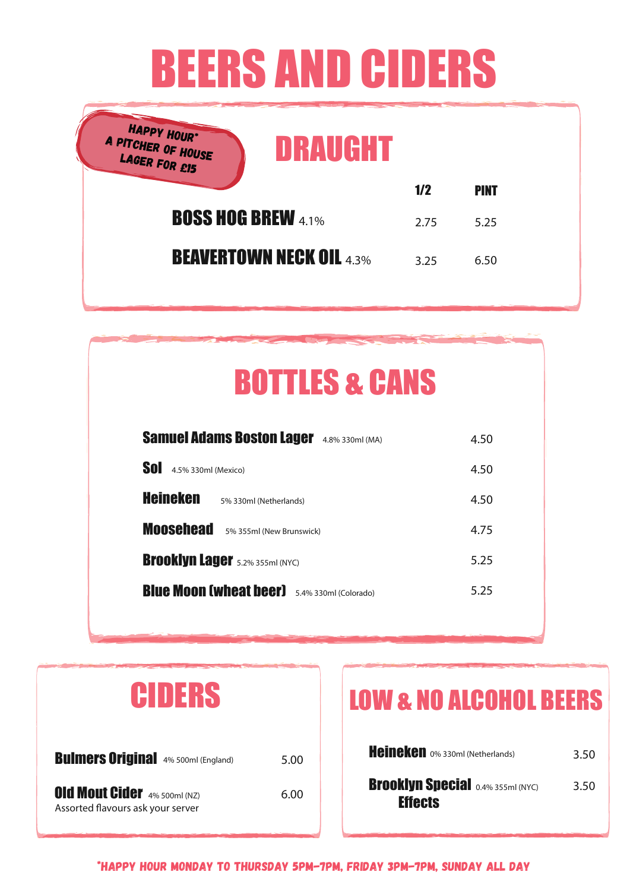# BEERS AND CIDERS

| HAPPY HOUR*<br>A PITCHER OF HOUSE<br>LAGER FOR £15<br>DRAUGHT |      |             |
|---------------------------------------------------------------|------|-------------|
|                                                               | 1/2  | <b>PINT</b> |
| <b>BOSS HOG BREW 4.1%</b>                                     | 2.75 | 5.25        |
| <b>BEAVERTOWN NECK OIL 4.3%</b>                               | 3.25 | 6.50        |
|                                                               |      |             |

## BOTTLES & CANS

| <b>Samuel Adams Boston Lager</b><br>4.8% 330ml (MA)    | 4.50 |
|--------------------------------------------------------|------|
| Sol<br>4.5% 330ml (Mexico)                             | 4.50 |
| Heineken<br>5% 330ml (Netherlands)                     | 4.50 |
| <b>Moosehead</b><br>5% 355ml (New Brunswick)           | 4.75 |
| <b>Brooklyn Lager</b> 5.2% 355ml (NYC)                 | 5.25 |
| <b>Blue Moon (wheat beer)</b><br>5.4% 330ml (Colorado) | 5.25 |

| CIDERS                                                                   |      |
|--------------------------------------------------------------------------|------|
| <b>Bulmers Original</b> 4% 500ml (England)                               | 5.00 |
| <b>Old Mout Cider</b> 4% 500ml (NZ)<br>Assorted flavours ask your server | 6.00 |

## LOW & NO ALCOHOL BEERS

| Heineken 0% 330ml (Netherlands)                            | 3.50 |
|------------------------------------------------------------|------|
| <b>Brooklyn Special 0.4% 355ml (NYC)</b><br><b>Effects</b> | 3.50 |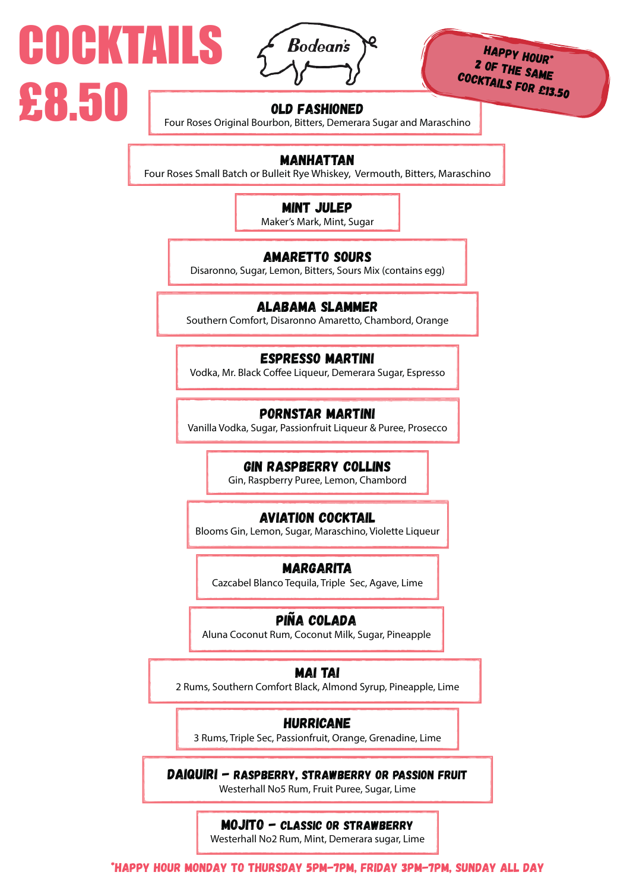

COCKTAILS

£8.50

HAPPY HOUR\* 2 OF THE SAME cocktails for £13.50

### OLD FASHIONED

Four Roses Original Bourbon, Bitters, Demerara Sugar and Maraschino

## MANHATTAN

Four Roses Small Batch or Bulleit Rye Whiskey, Vermouth, Bitters, Maraschino

## MINT JULEP

Maker's Mark, Mint, Sugar

## AMARETTO SOURS

Disaronno, Sugar, Lemon, Bitters, Sours Mix (contains egg)

## ALABAMA SLAMMER

Southern Comfort, Disaronno Amaretto, Chambord, Orange

### ESPRESSO MARTINI

Vodka, Mr. Black Coffee Liqueur, Demerara Sugar, Espresso

## PORNSTAR MARTINI

Vanilla Vodka, Sugar, Passionfruit Liqueur & Puree, Prosecco

### GIN RASPBERRY COLLINS

Gin, Raspberry Puree, Lemon, Chambord

### AVIATION COCKTAIL

Blooms Gin, Lemon, Sugar, Maraschino, Violette Liqueur

### MARGARITA

Cazcabel Blanco Tequila, Triple Sec, Agave, Lime

## piña colada

Aluna Coconut Rum, Coconut Milk, Sugar, Pineapple

## MAI TAI

2 Rums, Southern Comfort Black, Almond Syrup, Pineapple, Lime

## HURRICANE

3 Rums, Triple Sec, Passionfruit, Orange, Grenadine, Lime

DAIQUIRI - RASPBERRY, STRAWBERRY OR PASSION FRUIT Westerhall No5 Rum, Fruit Puree, Sugar, Lime

## MOJITO - CLASSIC OR STRAWBERRY

Westerhall No2 Rum, Mint, Demerara sugar, Lime

\*HAPPY HOUR MONDAY TO THURSDAY 5PM-7PM, fRIDAY 3PM-7PM, SUNDAY ALL DAY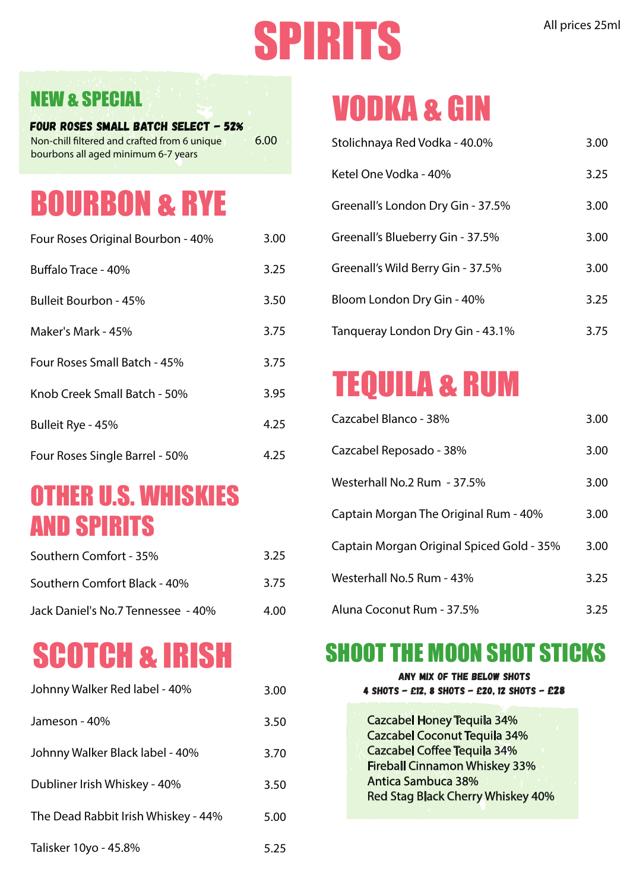# SPIRITS All prices 25ml

## NEW & SPECIAL

Four Roses Small Batch Select - 52% 6.00 Non-chill filtered and crafted from 6 unique bourbons all aged minimum 6-7 years

## BOURBON & RYE

| Four Roses Original Bourbon - 40% | 3.00 |
|-----------------------------------|------|
| Buffalo Trace - 40%               | 3.25 |
| Bulleit Bourbon - 45%             | 3.50 |
| Maker's Mark - 45%                | 3.75 |
| Four Roses Small Batch - 45%      | 3.75 |
| Knob Creek Small Batch - 50%      | 3.95 |
| Bulleit Rye - 45%                 | 4.25 |
| Four Roses Single Barrel - 50%    | 4.25 |

## OTHER U.S. WHISKIES AND SPIRITS

| Southern Comfort - 35%             | 3.25 |
|------------------------------------|------|
| Southern Comfort Black - 40%       | 3.75 |
| Jack Daniel's No.7 Tennessee - 40% | 4.00 |

## SCOTCH & IRISH

| Johnny Walker Red label - 40%       | 3.00 |
|-------------------------------------|------|
| Jameson - 40%                       | 3.50 |
| Johnny Walker Black label - 40%     | 3.70 |
| Dubliner Irish Whiskey - 40%        | 3.50 |
| The Dead Rabbit Irish Whiskey - 44% | 5.00 |
| Talisker 10yo - 45.8%               | 5.25 |

## VODKA & GIN

| Stolichnaya Red Vodka - 40.0%     | 3.00 |
|-----------------------------------|------|
| Ketel One Vodka - 40%             | 3.25 |
| Greenall's London Dry Gin - 37.5% | 3.00 |
| Greenall's Blueberry Gin - 37.5%  | 3.00 |
| Greenall's Wild Berry Gin - 37.5% | 3.00 |
| Bloom London Dry Gin - 40%        | 3.25 |
| Tangueray London Dry Gin - 43.1%  | 3.75 |

## TEQUILA & RUM

| Cazcabel Blanco - 38%                     | 3.00 |
|-------------------------------------------|------|
| Cazcabel Reposado - 38%                   | 3.00 |
| Westerhall No.2 Rum - 37.5%               | 3.00 |
| Captain Morgan The Original Rum - 40%     | 3.00 |
| Captain Morgan Original Spiced Gold - 35% | 3.00 |
| Westerhall No.5 Rum - 43%                 | 3.25 |
| Aluna Coconut Rum - 37.5%                 | 3.25 |

## SHOOT THE MOON SHOT STICKS

| ANY MIX OF THE BELOW SHOTS<br>4 SHOTS - £12, 8 SHOTS - £20, 12 SHOTS - £28 |
|----------------------------------------------------------------------------|
| <b>Cazcabel Honey Tequila 34%</b>                                          |
| <b>Cazcabel Coconut Tequila 34%</b>                                        |
| <b>Cazcabel Coffee Tequila 34%</b>                                         |
| <b>Fireball Cinnamon Whiskey 33%</b>                                       |
| <b>Antica Sambuca 38%</b>                                                  |
| <b>Red Stag Black Cherry Whiskey 40%</b>                                   |
|                                                                            |